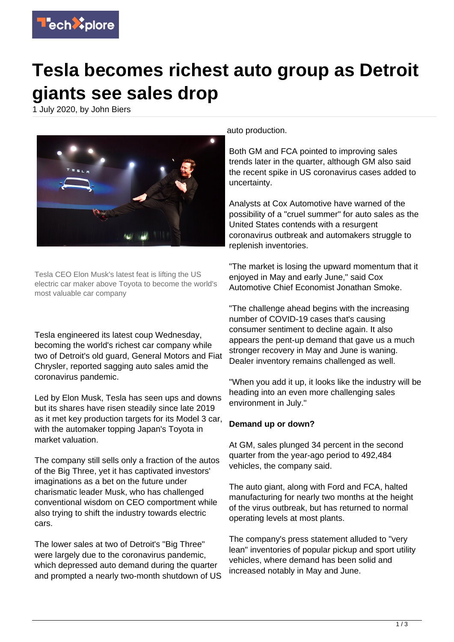

## **Tesla becomes richest auto group as Detroit giants see sales drop**

1 July 2020, by John Biers



Tesla CEO Elon Musk's latest feat is lifting the US electric car maker above Toyota to become the world's most valuable car company

Tesla engineered its latest coup Wednesday, becoming the world's richest car company while two of Detroit's old guard, General Motors and Fiat Chrysler, reported sagging auto sales amid the coronavirus pandemic.

Led by Elon Musk, Tesla has seen ups and downs but its shares have risen steadily since late 2019 as it met key production targets for its Model 3 car, with the automaker topping Japan's Toyota in market valuation.

The company still sells only a fraction of the autos of the Big Three, yet it has captivated investors' imaginations as a bet on the future under charismatic leader Musk, who has challenged conventional wisdom on CEO comportment while also trying to shift the industry towards electric cars.

The lower sales at two of Detroit's "Big Three" were largely due to the coronavirus pandemic, which depressed auto demand during the quarter and prompted a nearly two-month shutdown of US

auto production.

Both GM and FCA pointed to improving sales trends later in the quarter, although GM also said the recent spike in US coronavirus cases added to uncertainty.

Analysts at Cox Automotive have warned of the possibility of a "cruel summer" for auto sales as the United States contends with a resurgent coronavirus outbreak and automakers struggle to replenish inventories.

"The market is losing the upward momentum that it enjoyed in May and early June," said Cox Automotive Chief Economist Jonathan Smoke.

"The challenge ahead begins with the increasing number of COVID-19 cases that's causing consumer sentiment to decline again. It also appears the pent-up demand that gave us a much stronger recovery in May and June is waning. Dealer inventory remains challenged as well.

"When you add it up, it looks like the industry will be heading into an even more challenging sales environment in July."

## **Demand up or down?**

At GM, sales plunged 34 percent in the second quarter from the year-ago period to 492,484 vehicles, the company said.

The auto giant, along with Ford and FCA, halted manufacturing for nearly two months at the height of the virus outbreak, but has returned to normal operating levels at most plants.

The company's press statement alluded to "very lean" inventories of popular pickup and sport utility vehicles, where demand has been solid and increased notably in May and June.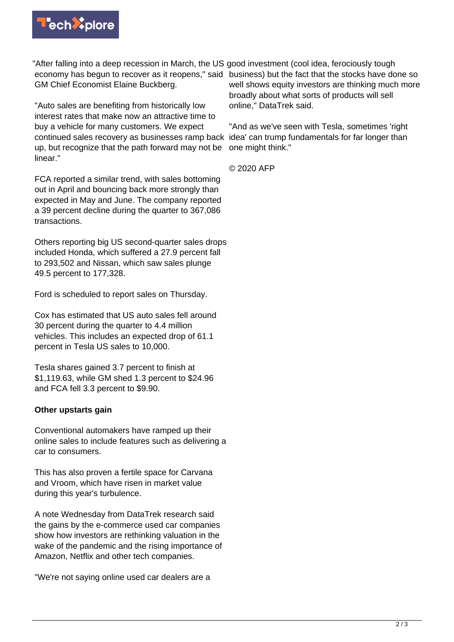

"After falling into a deep recession in March, the US good investment (cool idea, ferociously tough economy has begun to recover as it reopens," said business) but the fact that the stocks have done so GM Chief Economist Elaine Buckberg.

"Auto sales are benefiting from historically low interest rates that make now an attractive time to buy a vehicle for many customers. We expect continued sales recovery as businesses ramp back idea' can trump fundamentals for far longer than up, but recognize that the path forward may not be linear."

FCA reported a similar trend, with sales bottoming out in April and bouncing back more strongly than expected in May and June. The company reported a 39 percent decline during the quarter to 367,086 transactions.

Others reporting big US second-quarter sales drops included Honda, which suffered a 27.9 percent fall to 293,502 and Nissan, which saw sales plunge 49.5 percent to 177,328.

Ford is scheduled to report sales on Thursday.

Cox has estimated that US auto sales fell around 30 percent during the quarter to 4.4 million vehicles. This includes an expected drop of 61.1 percent in Tesla US sales to 10,000.

Tesla shares gained 3.7 percent to finish at \$1,119.63, while GM shed 1.3 percent to \$24.96 and FCA fell 3.3 percent to \$9.90.

## **Other upstarts gain**

Conventional automakers have ramped up their online sales to include features such as delivering a car to consumers.

This has also proven a fertile space for Carvana and Vroom, which have risen in market value during this year's turbulence.

A note Wednesday from DataTrek research said the gains by the e-commerce used car companies show how investors are rethinking valuation in the wake of the pandemic and the rising importance of Amazon, Netflix and other tech companies.

"We're not saying online used car dealers are a

well shows equity investors are thinking much more broadly about what sorts of products will sell online," DataTrek said.

"And as we've seen with Tesla, sometimes 'right one might think."

© 2020 AFP